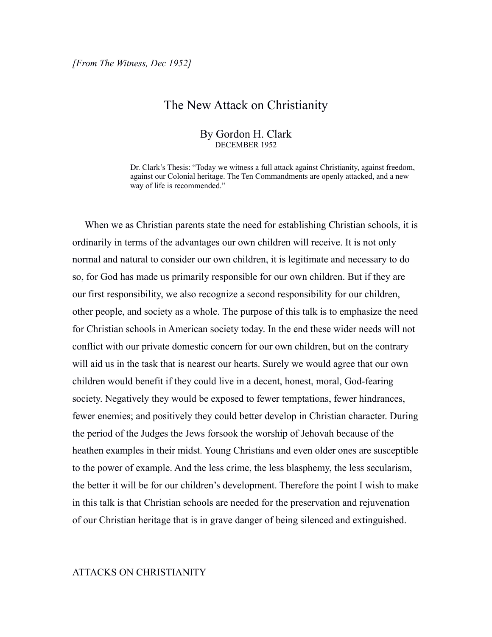## The New Attack on Christianity

## By Gordon H. Clark DECEMBER 1952

Dr. Clark's Thesis: "Today we witness a full attack against Christianity, against freedom, against our Colonial heritage. The Ten Commandments are openly attacked, and a new way of life is recommended."

 When we as Christian parents state the need for establishing Christian schools, it is ordinarily in terms of the advantages our own children will receive. It is not only normal and natural to consider our own children, it is legitimate and necessary to do so, for God has made us primarily responsible for our own children. But if they are our first responsibility, we also recognize a second responsibility for our children, other people, and society as a whole. The purpose of this talk is to emphasize the need for Christian schools in American society today. In the end these wider needs will not conflict with our private domestic concern for our own children, but on the contrary will aid us in the task that is nearest our hearts. Surely we would agree that our own children would benefit if they could live in a decent, honest, moral, God-fearing society. Negatively they would be exposed to fewer temptations, fewer hindrances, fewer enemies; and positively they could better develop in Christian character. During the period of the Judges the Jews forsook the worship of Jehovah because of the heathen examples in their midst. Young Christians and even older ones are susceptible to the power of example. And the less crime, the less blasphemy, the less secularism, the better it will be for our children's development. Therefore the point I wish to make in this talk is that Christian schools are needed for the preservation and rejuvenation of our Christian heritage that is in grave danger of being silenced and extinguished.

## ATTACKS ON CHRISTIANITY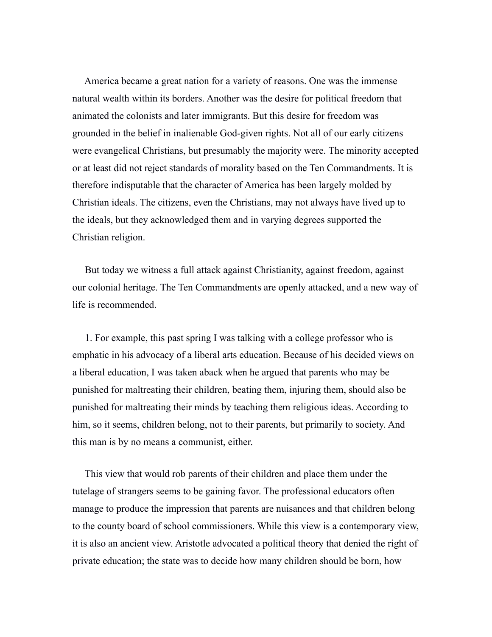America became a great nation for a variety of reasons. One was the immense natural wealth within its borders. Another was the desire for political freedom that animated the colonists and later immigrants. But this desire for freedom was grounded in the belief in inalienable God-given rights. Not all of our early citizens were evangelical Christians, but presumably the majority were. The minority accepted or at least did not reject standards of morality based on the Ten Commandments. It is therefore indisputable that the character of America has been largely molded by Christian ideals. The citizens, even the Christians, may not always have lived up to the ideals, but they acknowledged them and in varying degrees supported the Christian religion.

 But today we witness a full attack against Christianity, against freedom, against our colonial heritage. The Ten Commandments are openly attacked, and a new way of life is recommended.

 1. For example, this past spring I was talking with a college professor who is emphatic in his advocacy of a liberal arts education. Because of his decided views on a liberal education, I was taken aback when he argued that parents who may be punished for maltreating their children, beating them, injuring them, should also be punished for maltreating their minds by teaching them religious ideas. According to him, so it seems, children belong, not to their parents, but primarily to society. And this man is by no means a communist, either.

 This view that would rob parents of their children and place them under the tutelage of strangers seems to be gaining favor. The professional educators often manage to produce the impression that parents are nuisances and that children belong to the county board of school commissioners. While this view is a contemporary view, it is also an ancient view. Aristotle advocated a political theory that denied the right of private education; the state was to decide how many children should be born, how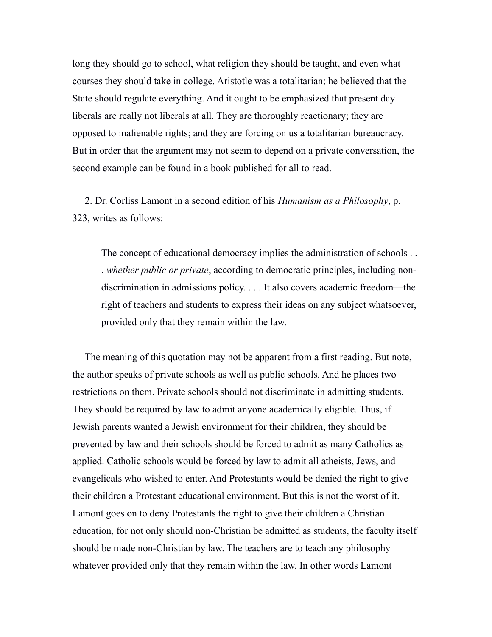long they should go to school, what religion they should be taught, and even what courses they should take in college. Aristotle was a totalitarian; he believed that the State should regulate everything. And it ought to be emphasized that present day liberals are really not liberals at all. They are thoroughly reactionary; they are opposed to inalienable rights; and they are forcing on us a totalitarian bureaucracy. But in order that the argument may not seem to depend on a private conversation, the second example can be found in a book published for all to read.

 2. Dr. Corliss Lamont in a second edition of his *Humanism as a Philosophy*, p. 323, writes as follows:

The concept of educational democracy implies the administration of schools . . . *whether public or private*, according to democratic principles, including nondiscrimination in admissions policy. . . . It also covers academic freedom—the right of teachers and students to express their ideas on any subject whatsoever, provided only that they remain within the law.

 The meaning of this quotation may not be apparent from a first reading. But note, the author speaks of private schools as well as public schools. And he places two restrictions on them. Private schools should not discriminate in admitting students. They should be required by law to admit anyone academically eligible. Thus, if Jewish parents wanted a Jewish environment for their children, they should be prevented by law and their schools should be forced to admit as many Catholics as applied. Catholic schools would be forced by law to admit all atheists, Jews, and evangelicals who wished to enter. And Protestants would be denied the right to give their children a Protestant educational environment. But this is not the worst of it. Lamont goes on to deny Protestants the right to give their children a Christian education, for not only should non-Christian be admitted as students, the faculty itself should be made non-Christian by law. The teachers are to teach any philosophy whatever provided only that they remain within the law. In other words Lamont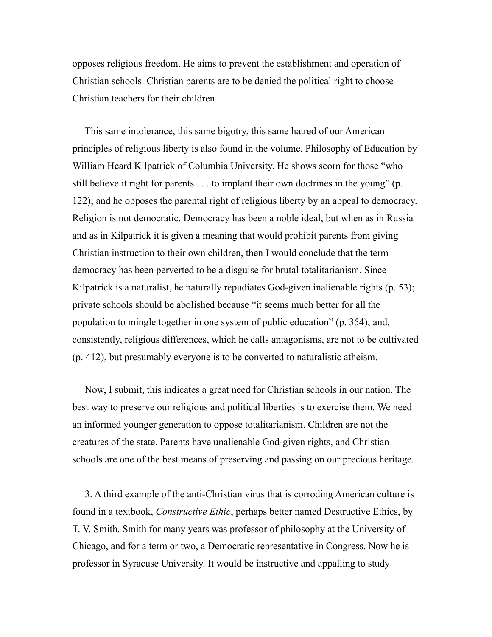opposes religious freedom. He aims to prevent the establishment and operation of Christian schools. Christian parents are to be denied the political right to choose Christian teachers for their children.

 This same intolerance, this same bigotry, this same hatred of our American principles of religious liberty is also found in the volume, Philosophy of Education by William Heard Kilpatrick of Columbia University. He shows scorn for those "who still believe it right for parents . . . to implant their own doctrines in the young" (p. 122); and he opposes the parental right of religious liberty by an appeal to democracy. Religion is not democratic. Democracy has been a noble ideal, but when as in Russia and as in Kilpatrick it is given a meaning that would prohibit parents from giving Christian instruction to their own children, then I would conclude that the term democracy has been perverted to be a disguise for brutal totalitarianism. Since Kilpatrick is a naturalist, he naturally repudiates God-given inalienable rights (p. 53); private schools should be abolished because "it seems much better for all the population to mingle together in one system of public education" (p. 354); and, consistently, religious differences, which he calls antagonisms, are not to be cultivated (p. 412), but presumably everyone is to be converted to naturalistic atheism.

 Now, I submit, this indicates a great need for Christian schools in our nation. The best way to preserve our religious and political liberties is to exercise them. We need an informed younger generation to oppose totalitarianism. Children are not the creatures of the state. Parents have unalienable God-given rights, and Christian schools are one of the best means of preserving and passing on our precious heritage.

 3. A third example of the anti-Christian virus that is corroding American culture is found in a textbook, *Constructive Ethic*, perhaps better named Destructive Ethics, by T. V. Smith. Smith for many years was professor of philosophy at the University of Chicago, and for a term or two, a Democratic representative in Congress. Now he is professor in Syracuse University. It would be instructive and appalling to study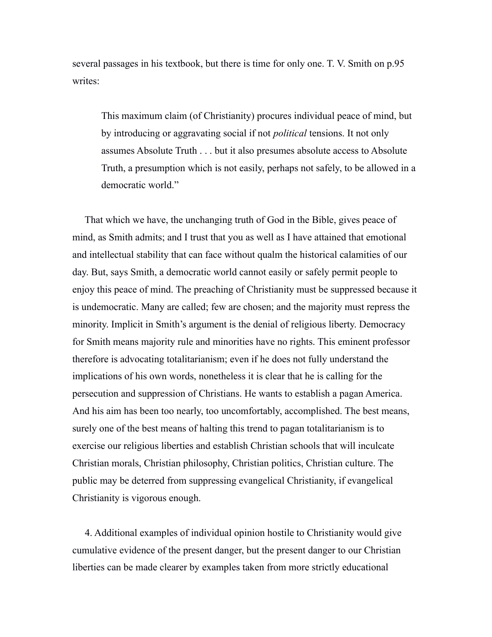several passages in his textbook, but there is time for only one. T. V. Smith on p.95 writes:

This maximum claim (of Christianity) procures individual peace of mind, but by introducing or aggravating social if not *political* tensions. It not only assumes Absolute Truth . . . but it also presumes absolute access to Absolute Truth, a presumption which is not easily, perhaps not safely, to be allowed in a democratic world."

 That which we have, the unchanging truth of God in the Bible, gives peace of mind, as Smith admits; and I trust that you as well as I have attained that emotional and intellectual stability that can face without qualm the historical calamities of our day. But, says Smith, a democratic world cannot easily or safely permit people to enjoy this peace of mind. The preaching of Christianity must be suppressed because it is undemocratic. Many are called; few are chosen; and the majority must repress the minority. Implicit in Smith's argument is the denial of religious liberty. Democracy for Smith means majority rule and minorities have no rights. This eminent professor therefore is advocating totalitarianism; even if he does not fully understand the implications of his own words, nonetheless it is clear that he is calling for the persecution and suppression of Christians. He wants to establish a pagan America. And his aim has been too nearly, too uncomfortably, accomplished. The best means, surely one of the best means of halting this trend to pagan totalitarianism is to exercise our religious liberties and establish Christian schools that will inculcate Christian morals, Christian philosophy, Christian politics, Christian culture. The public may be deterred from suppressing evangelical Christianity, if evangelical Christianity is vigorous enough.

 4. Additional examples of individual opinion hostile to Christianity would give cumulative evidence of the present danger, but the present danger to our Christian liberties can be made clearer by examples taken from more strictly educational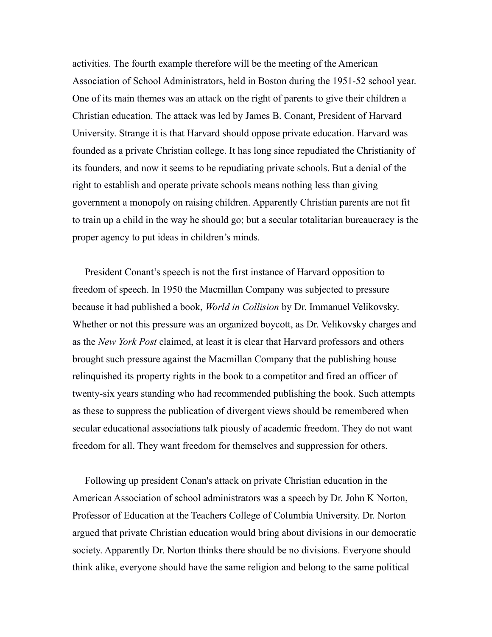activities. The fourth example therefore will be the meeting of the American Association of School Administrators, held in Boston during the 1951-52 school year. One of its main themes was an attack on the right of parents to give their children a Christian education. The attack was led by James B. Conant, President of Harvard University. Strange it is that Harvard should oppose private education. Harvard was founded as a private Christian college. It has long since repudiated the Christianity of its founders, and now it seems to be repudiating private schools. But a denial of the right to establish and operate private schools means nothing less than giving government a monopoly on raising children. Apparently Christian parents are not fit to train up a child in the way he should go; but a secular totalitarian bureaucracy is the proper agency to put ideas in children's minds.

 President Conant's speech is not the first instance of Harvard opposition to freedom of speech. In 1950 the Macmillan Company was subjected to pressure because it had published a book, *World in Collision* by Dr. Immanuel Velikovsky. Whether or not this pressure was an organized boycott, as Dr. Velikovsky charges and as the *New York Post* claimed, at least it is clear that Harvard professors and others brought such pressure against the Macmillan Company that the publishing house relinquished its property rights in the book to a competitor and fired an officer of twenty-six years standing who had recommended publishing the book. Such attempts as these to suppress the publication of divergent views should be remembered when secular educational associations talk piously of academic freedom. They do not want freedom for all. They want freedom for themselves and suppression for others.

 Following up president Conan's attack on private Christian education in the American Association of school administrators was a speech by Dr. John K Norton, Professor of Education at the Teachers College of Columbia University. Dr. Norton argued that private Christian education would bring about divisions in our democratic society. Apparently Dr. Norton thinks there should be no divisions. Everyone should think alike, everyone should have the same religion and belong to the same political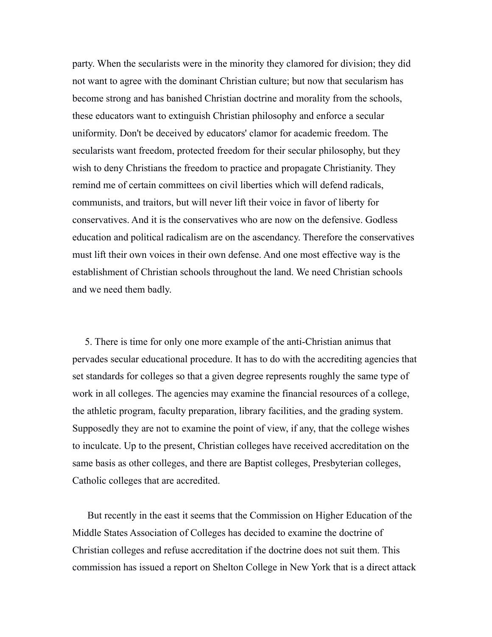party. When the secularists were in the minority they clamored for division; they did not want to agree with the dominant Christian culture; but now that secularism has become strong and has banished Christian doctrine and morality from the schools, these educators want to extinguish Christian philosophy and enforce a secular uniformity. Don't be deceived by educators' clamor for academic freedom. The secularists want freedom, protected freedom for their secular philosophy, but they wish to deny Christians the freedom to practice and propagate Christianity. They remind me of certain committees on civil liberties which will defend radicals, communists, and traitors, but will never lift their voice in favor of liberty for conservatives. And it is the conservatives who are now on the defensive. Godless education and political radicalism are on the ascendancy. Therefore the conservatives must lift their own voices in their own defense. And one most effective way is the establishment of Christian schools throughout the land. We need Christian schools and we need them badly.

 5. There is time for only one more example of the anti-Christian animus that pervades secular educational procedure. It has to do with the accrediting agencies that set standards for colleges so that a given degree represents roughly the same type of work in all colleges. The agencies may examine the financial resources of a college, the athletic program, faculty preparation, library facilities, and the grading system. Supposedly they are not to examine the point of view, if any, that the college wishes to inculcate. Up to the present, Christian colleges have received accreditation on the same basis as other colleges, and there are Baptist colleges, Presbyterian colleges, Catholic colleges that are accredited.

 But recently in the east it seems that the Commission on Higher Education of the Middle States Association of Colleges has decided to examine the doctrine of Christian colleges and refuse accreditation if the doctrine does not suit them. This commission has issued a report on Shelton College in New York that is a direct attack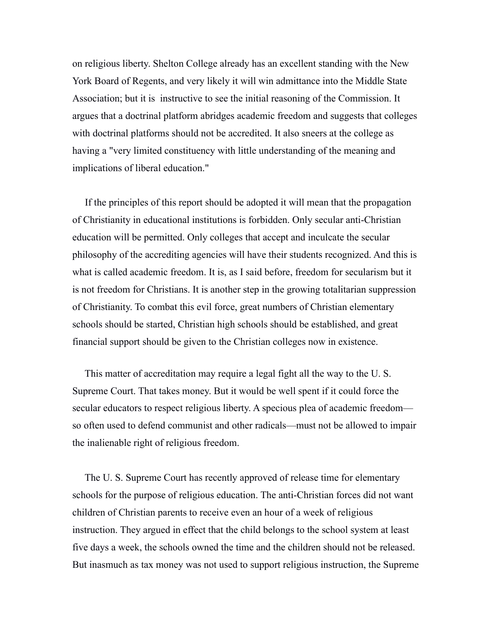on religious liberty. Shelton College already has an excellent standing with the New York Board of Regents, and very likely it will win admittance into the Middle State Association; but it is instructive to see the initial reasoning of the Commission. It argues that a doctrinal platform abridges academic freedom and suggests that colleges with doctrinal platforms should not be accredited. It also sneers at the college as having a "very limited constituency with little understanding of the meaning and implications of liberal education."

 If the principles of this report should be adopted it will mean that the propagation of Christianity in educational institutions is forbidden. Only secular anti-Christian education will be permitted. Only colleges that accept and inculcate the secular philosophy of the accrediting agencies will have their students recognized. And this is what is called academic freedom. It is, as I said before, freedom for secularism but it is not freedom for Christians. It is another step in the growing totalitarian suppression of Christianity. To combat this evil force, great numbers of Christian elementary schools should be started, Christian high schools should be established, and great financial support should be given to the Christian colleges now in existence.

 This matter of accreditation may require a legal fight all the way to the U. S. Supreme Court. That takes money. But it would be well spent if it could force the secular educators to respect religious liberty. A specious plea of academic freedom so often used to defend communist and other radicals—must not be allowed to impair the inalienable right of religious freedom.

 The U. S. Supreme Court has recently approved of release time for elementary schools for the purpose of religious education. The anti-Christian forces did not want children of Christian parents to receive even an hour of a week of religious instruction. They argued in effect that the child belongs to the school system at least five days a week, the schools owned the time and the children should not be released. But inasmuch as tax money was not used to support religious instruction, the Supreme